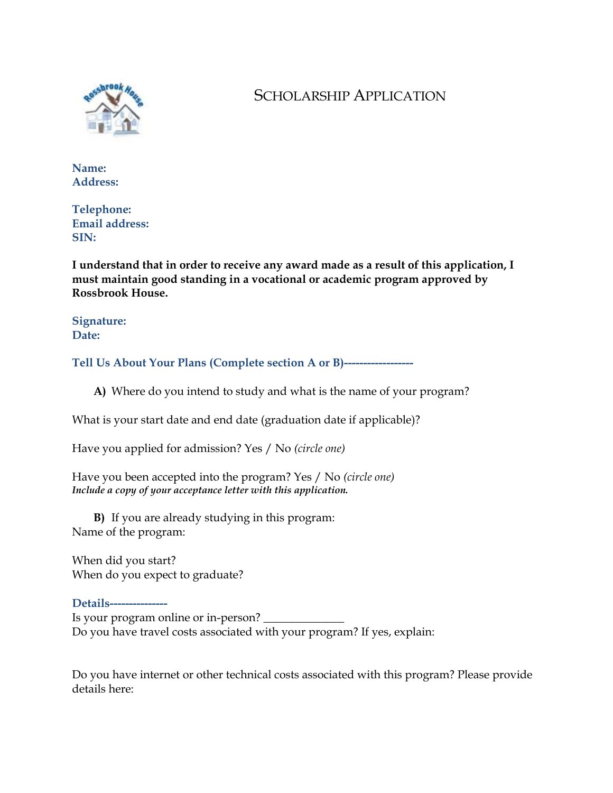

# SCHOLARSHIP APPLICATION

**Name: Address:** 

**Telephone: Email address: SIN:** 

**I understand that in order to receive any award made as a result of this application, I must maintain good standing in a vocational or academic program approved by Rossbrook House.** 

**Signature: Date:** 

**Tell Us About Your Plans (Complete section A or B)------------------**

**A)** Where do you intend to study and what is the name of your program?

What is your start date and end date (graduation date if applicable)?

Have you applied for admission? Yes / No *(circle one)* 

Have you been accepted into the program? Yes / No *(circle one) Include a copy of your acceptance letter with this application.*

**B)** If you are already studying in this program: Name of the program:

When did you start? When do you expect to graduate?

**Details---------------**  Is your program online or in-person? Do you have travel costs associated with your program? If yes, explain:

Do you have internet or other technical costs associated with this program? Please provide details here: